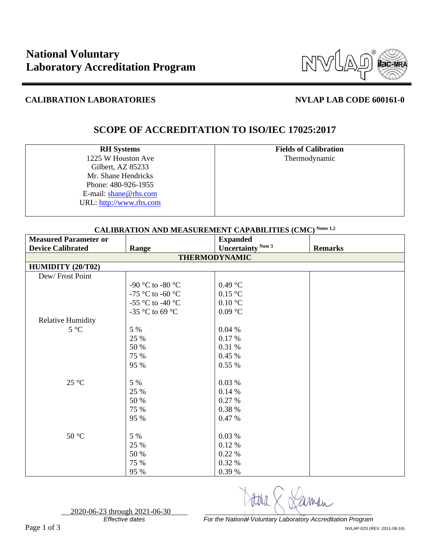

### **CALIBRATION LABORATORIES NVLAP LAB CODE 600161-0**

# **SCOPE OF ACCREDITATION TO ISO/IEC 17025:2017**

**RH Systems** 1225 W Houston Ave Gilbert, AZ 85233 Mr. Shane Hendricks Phone: 480-926-1955 E-mail: [shane@rhs.com](mailto:shane@rhs.com) URL: [http://www.rhs.com](http://www.rhs.com/) **Fields of Calibration** Thermodynamic

| <b>CALIBRATION AND MEASUREMENT CAPABILITIES (CMC) Notes 1,2</b> |                  |                           |                |  |
|-----------------------------------------------------------------|------------------|---------------------------|----------------|--|
| <b>Measured Parameter or</b>                                    |                  | <b>Expanded</b>           |                |  |
| <b>Device Calibrated</b>                                        | Range            | <b>Uncertainty Note 3</b> | <b>Remarks</b> |  |
| <b>THERMODYNAMIC</b>                                            |                  |                           |                |  |
| HUMIDITY (20/T02)                                               |                  |                           |                |  |
| Dew/Frost Point                                                 |                  |                           |                |  |
|                                                                 | -90 °C to -80 °C | 0.49 °C                   |                |  |
|                                                                 | -75 °C to -60 °C | 0.15 °C                   |                |  |
|                                                                 | -55 °C to -40 °C | $0.10\text{ °C}$          |                |  |
|                                                                 | -35 °C to 69 °C  | 0.09 °C                   |                |  |
| <b>Relative Humidity</b>                                        |                  |                           |                |  |
| $5^{\circ}C$                                                    | 5 %              | 0.04%                     |                |  |
|                                                                 | 25 %             | 0.17%                     |                |  |
|                                                                 | 50 %             | 0.31 %                    |                |  |
|                                                                 | 75 %             | 0.45%                     |                |  |
|                                                                 | 95 %             | 0.55%                     |                |  |
|                                                                 |                  |                           |                |  |
| $25\text{ °C}$                                                  | 5 %              | 0.03 %                    |                |  |
|                                                                 | 25 %             | 0.14%                     |                |  |
|                                                                 | 50 %             | 0.27 %                    |                |  |
|                                                                 | 75 %             | 0.38 %                    |                |  |
|                                                                 | 95 %             | 0.47 %                    |                |  |
|                                                                 |                  |                           |                |  |
| $50 °C$                                                         | 5 %              | 0.03 %                    |                |  |
|                                                                 | 25 %             | 0.12 %                    |                |  |
|                                                                 | 50 %             | 0.22 %                    |                |  |
|                                                                 | 75 %             | 0.32 %                    |                |  |
|                                                                 | 95 %             | 0.39 %                    |                |  |

2020-06-23 through 2021-06-30

*For the National Voluntary Laboratory Accreditation Program* Page 1 of 3 NVLAP-02S (REV. 2011-08-16)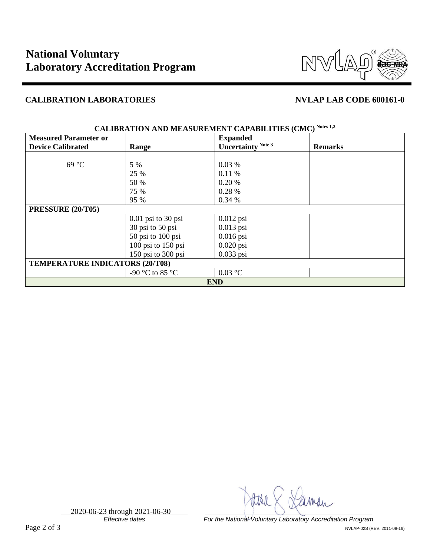

## **CALIBRATION LABORATORIES NVLAP LAB CODE 600161-0**

| <b>Measured Parameter or</b>           |                      | <b>Expanded</b>    |                |  |
|----------------------------------------|----------------------|--------------------|----------------|--|
| <b>Device Calibrated</b>               | Range                | Uncertainty Note 3 | <b>Remarks</b> |  |
|                                        |                      |                    |                |  |
| $69^{\circ}C$                          | 5 %                  | 0.03%              |                |  |
|                                        | 25 %                 | 0.11%              |                |  |
|                                        | 50 %                 | 0.20%              |                |  |
|                                        | 75 %                 | 0.28%              |                |  |
|                                        | 95 %                 | 0.34%              |                |  |
| PRESSURE (20/T05)                      |                      |                    |                |  |
|                                        | $0.01$ psi to 30 psi | $0.012$ psi        |                |  |
|                                        | 30 psi to 50 psi     | $0.013$ psi        |                |  |
|                                        | 50 psi to 100 psi    | $0.016$ psi        |                |  |
|                                        | 100 psi to 150 psi   | $0.020$ psi        |                |  |
|                                        | 150 psi to 300 psi   | $0.033$ psi        |                |  |
| <b>TEMPERATURE INDICATORS (20/T08)</b> |                      |                    |                |  |
|                                        | -90 °C to 85 °C      | $0.03$ °C          |                |  |
| <b>END</b>                             |                      |                    |                |  |

### **CALIBRATION AND MEASUREMENT CAPABILITIES (CMC) Notes 1,2**

2020-06-23 through 2021-06-30

*Effective dates For the National Voluntary Laboratory Accreditation Program* Page 2 of 3 NVLAP-02S (REV. 2011-08-16)